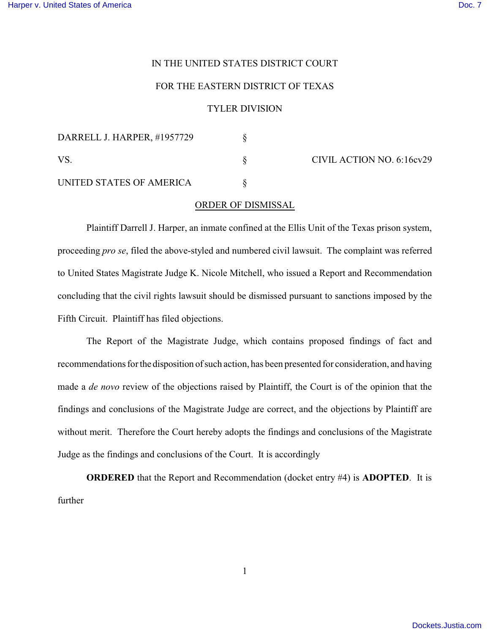## IN THE UNITED STATES DISTRICT COURT

## FOR THE EASTERN DISTRICT OF TEXAS

## TYLER DIVISION

| DARRELL J. HARPER, #1957729 |  | CIVIL ACTION NO. 6:16cv29 |
|-----------------------------|--|---------------------------|
| VS                          |  |                           |
| UNITED STATES OF AMERICA    |  |                           |

## ORDER OF DISMISSAL

Plaintiff Darrell J. Harper, an inmate confined at the Ellis Unit of the Texas prison system, proceeding *pro se*, filed the above-styled and numbered civil lawsuit. The complaint was referred to United States Magistrate Judge K. Nicole Mitchell, who issued a Report and Recommendation concluding that the civil rights lawsuit should be dismissed pursuant to sanctions imposed by the Fifth Circuit. Plaintiff has filed objections.

The Report of the Magistrate Judge, which contains proposed findings of fact and recommendations for the disposition of such action, has been presented for consideration, and having made a *de novo* review of the objections raised by Plaintiff, the Court is of the opinion that the findings and conclusions of the Magistrate Judge are correct, and the objections by Plaintiff are without merit. Therefore the Court hereby adopts the findings and conclusions of the Magistrate Judge as the findings and conclusions of the Court. It is accordingly

**ORDERED** that the Report and Recommendation (docket entry #4) is **ADOPTED**. It is further